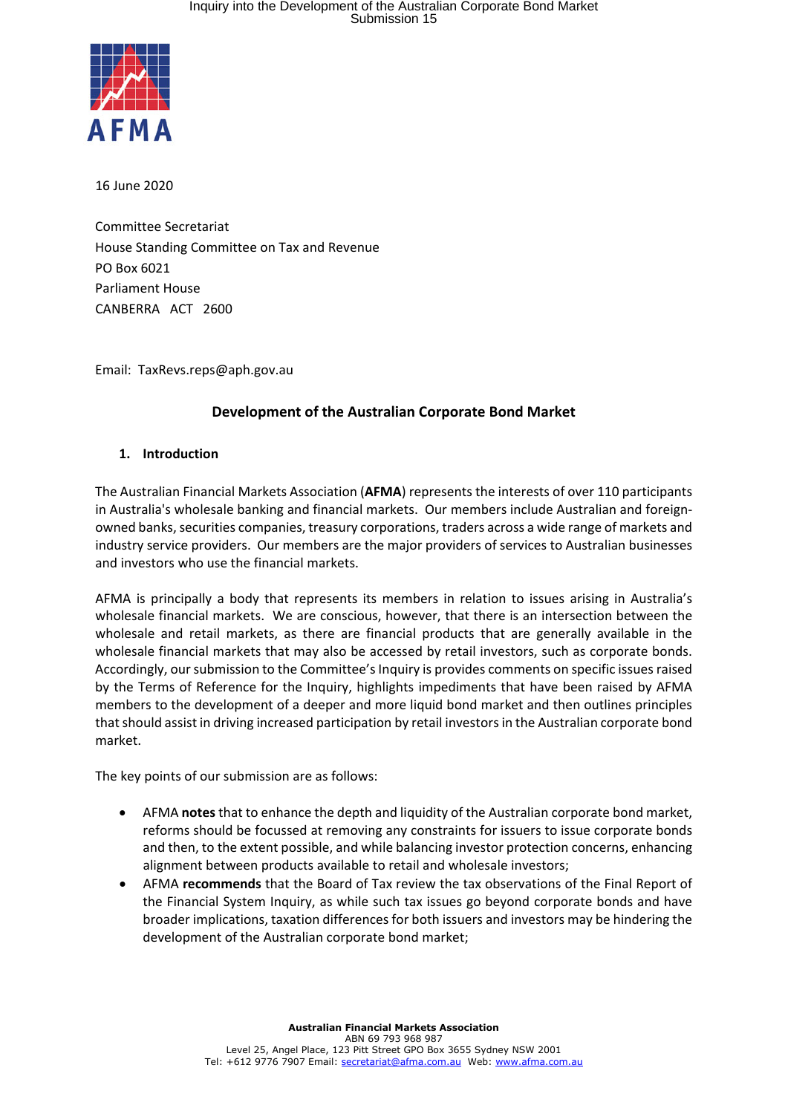

16 June 2020

Committee Secretariat House Standing Committee on Tax and Revenue PO Box 6021 Parliament House CANBERRA ACT 2600

Email: TaxRevs.reps@aph.gov.au

# **Development of the Australian Corporate Bond Market**

#### **1. Introduction**

The Australian Financial Markets Association (**AFMA**) represents the interests of over 110 participants in Australia's wholesale banking and financial markets. Our members include Australian and foreignowned banks, securities companies, treasury corporations, traders across a wide range of markets and industry service providers. Our members are the major providers of services to Australian businesses and investors who use the financial markets.

AFMA is principally a body that represents its members in relation to issues arising in Australia's wholesale financial markets. We are conscious, however, that there is an intersection between the wholesale and retail markets, as there are financial products that are generally available in the wholesale financial markets that may also be accessed by retail investors, such as corporate bonds. Accordingly, our submission to the Committee's Inquiry is provides comments on specific issues raised by the Terms of Reference for the Inquiry, highlights impediments that have been raised by AFMA members to the development of a deeper and more liquid bond market and then outlines principles that should assist in driving increased participation by retail investors in the Australian corporate bond market.

The key points of our submission are as follows:

- AFMA **notes** that to enhance the depth and liquidity of the Australian corporate bond market, reforms should be focussed at removing any constraints for issuers to issue corporate bonds and then, to the extent possible, and while balancing investor protection concerns, enhancing alignment between products available to retail and wholesale investors;
- AFMA **recommends** that the Board of Tax review the tax observations of the Final Report of the Financial System Inquiry, as while such tax issues go beyond corporate bonds and have broader implications, taxation differences for both issuers and investors may be hindering the development of the Australian corporate bond market;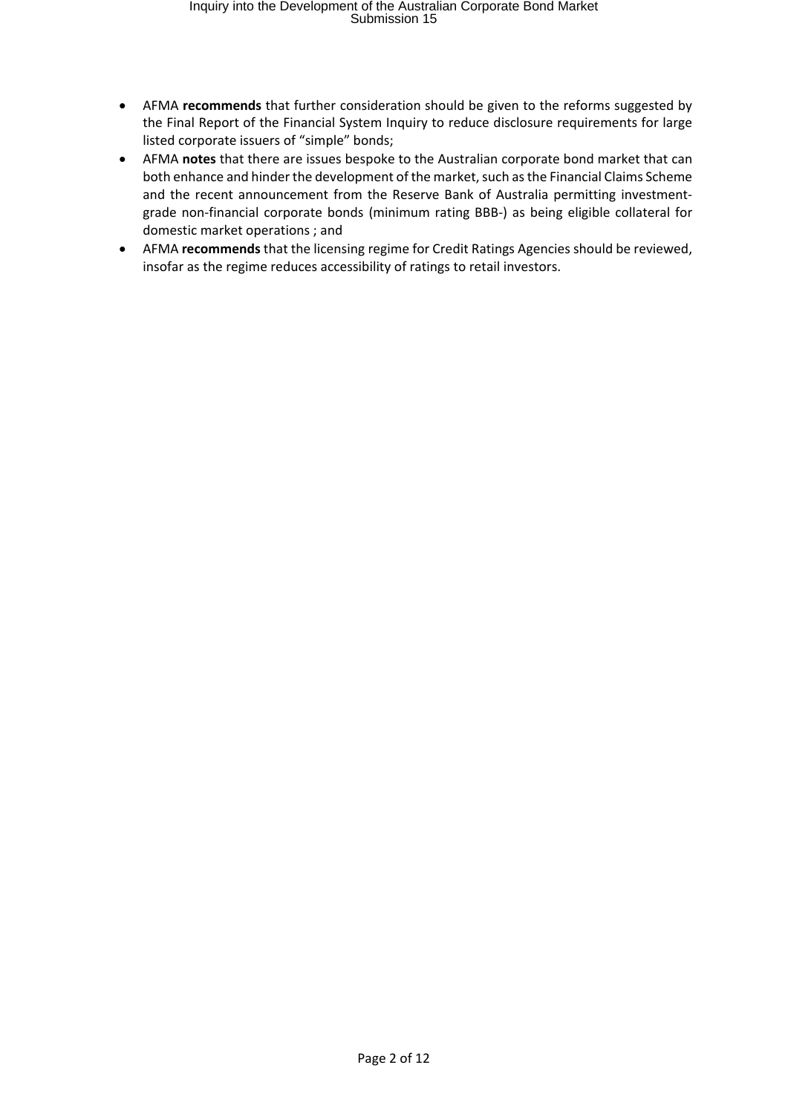- AFMA **recommends** that further consideration should be given to the reforms suggested by the Final Report of the Financial System Inquiry to reduce disclosure requirements for large listed corporate issuers of "simple" bonds;
- AFMA **notes** that there are issues bespoke to the Australian corporate bond market that can both enhance and hinder the development of the market, such as the Financial Claims Scheme and the recent announcement from the Reserve Bank of Australia permitting investmentgrade non-financial corporate bonds (minimum rating BBB-) as being eligible collateral for domestic market operations ; and
- AFMA **recommends** that the licensing regime for Credit Ratings Agencies should be reviewed, insofar as the regime reduces accessibility of ratings to retail investors.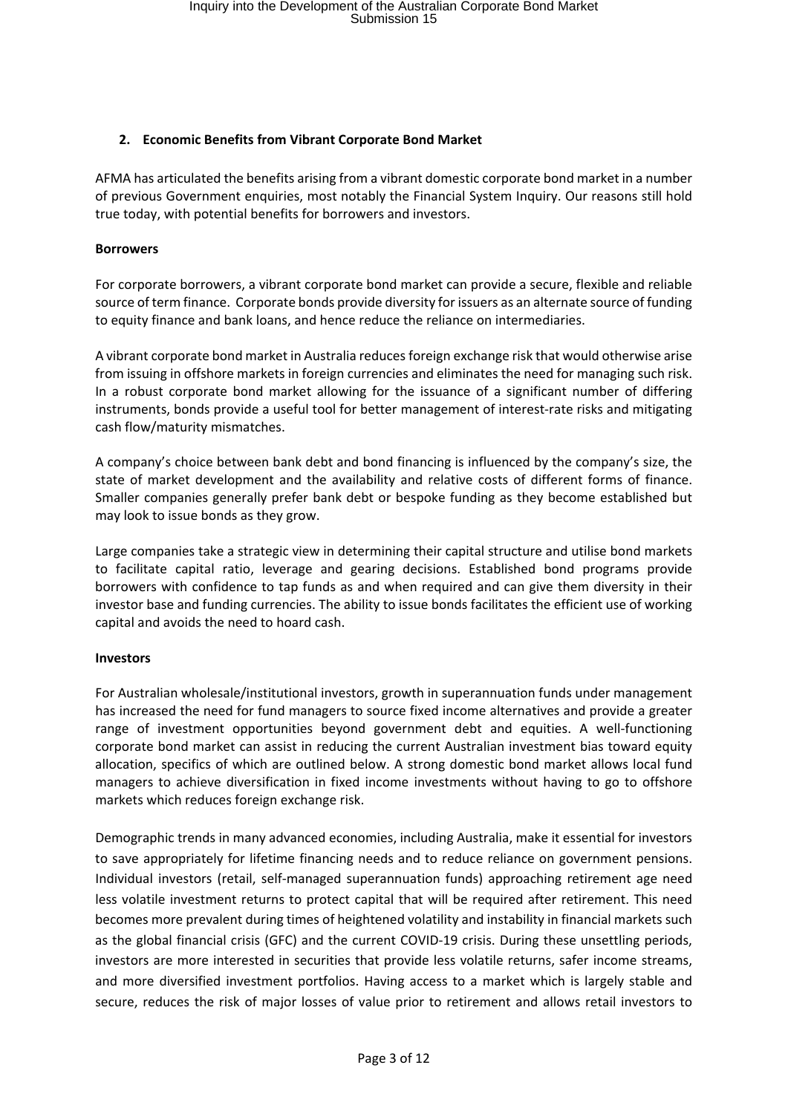# **2. Economic Benefits from Vibrant Corporate Bond Market**

AFMA has articulated the benefits arising from a vibrant domestic corporate bond market in a number of previous Government enquiries, most notably the Financial System Inquiry. Our reasons still hold true today, with potential benefits for borrowers and investors.

#### **Borrowers**

For corporate borrowers, a vibrant corporate bond market can provide a secure, flexible and reliable source of term finance. Corporate bonds provide diversity for issuers as an alternate source of funding to equity finance and bank loans, and hence reduce the reliance on intermediaries.

A vibrant corporate bond market in Australia reducesforeign exchange risk that would otherwise arise from issuing in offshore markets in foreign currencies and eliminates the need for managing such risk. In a robust corporate bond market allowing for the issuance of a significant number of differing instruments, bonds provide a useful tool for better management of interest-rate risks and mitigating cash flow/maturity mismatches.

A company's choice between bank debt and bond financing is influenced by the company's size, the state of market development and the availability and relative costs of different forms of finance. Smaller companies generally prefer bank debt or bespoke funding as they become established but may look to issue bonds as they grow.

Large companies take a strategic view in determining their capital structure and utilise bond markets to facilitate capital ratio, leverage and gearing decisions. Established bond programs provide borrowers with confidence to tap funds as and when required and can give them diversity in their investor base and funding currencies. The ability to issue bonds facilitates the efficient use of working capital and avoids the need to hoard cash.

#### **Investors**

For Australian wholesale/institutional investors, growth in superannuation funds under management has increased the need for fund managers to source fixed income alternatives and provide a greater range of investment opportunities beyond government debt and equities. A well-functioning corporate bond market can assist in reducing the current Australian investment bias toward equity allocation, specifics of which are outlined below. A strong domestic bond market allows local fund managers to achieve diversification in fixed income investments without having to go to offshore markets which reduces foreign exchange risk.

Demographic trends in many advanced economies, including Australia, make it essential for investors to save appropriately for lifetime financing needs and to reduce reliance on government pensions. Individual investors (retail, self‐managed superannuation funds) approaching retirement age need less volatile investment returns to protect capital that will be required after retirement. This need becomes more prevalent during times of heightened volatility and instability in financial markets such as the global financial crisis (GFC) and the current COVID‐19 crisis. During these unsettling periods, investors are more interested in securities that provide less volatile returns, safer income streams, and more diversified investment portfolios. Having access to a market which is largely stable and secure, reduces the risk of major losses of value prior to retirement and allows retail investors to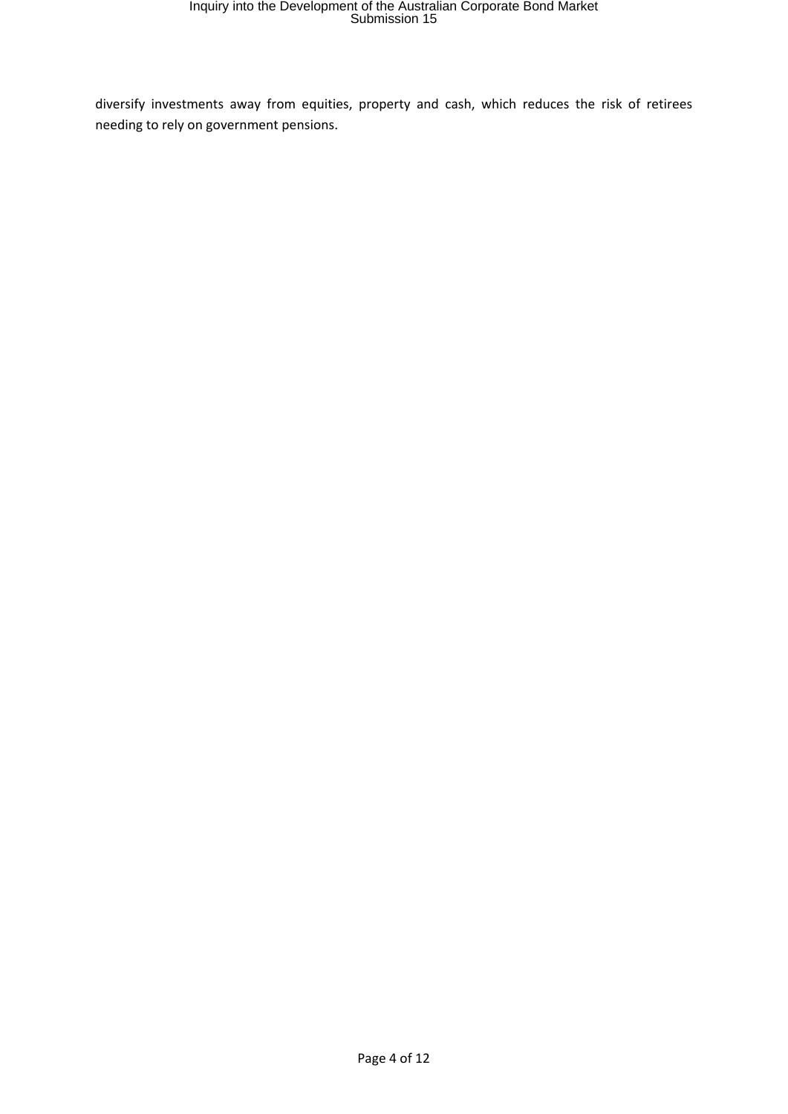diversify investments away from equities, property and cash, which reduces the risk of retirees needing to rely on government pensions.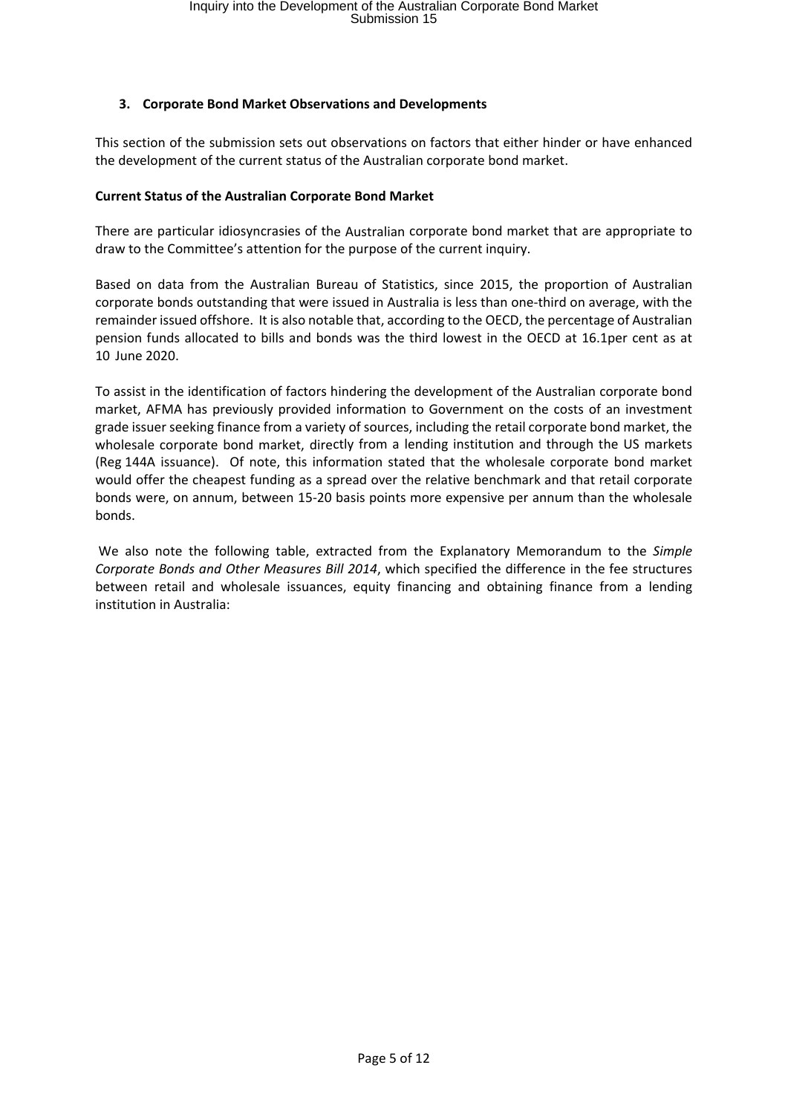# **3. Corporate Bond Market Observations and Developments**

This section of the submission sets out observations on factors that either hinder or have enhanced the development of the current status of the Australian corporate bond market.

#### **Current Status of the Australian Corporate Bond Market**

There are particular idiosyncrasies of the Australian corporate bond market that are appropriate to draw to the Committee's attention for the purpose of the current inquiry.

Based on data from the Australian Bureau of Statistics, since 2015, the proportion of Australian corporate bonds outstanding that were issued in Australia is less than one‐third on average, with the remainder issued offshore. It is also notable that, according to the OECD, the percentage of Australian pension funds allocated to bills and bonds was the third lowest in the OECD at 16.1per cent as at 10 June 2020.

To assist in the identification of factors hindering the development of the Australian corporate bond market, AFMA has previously provided information to Government on the costs of an investment grade issuer seeking finance from a variety of sources, including the retail corporate bond market, the wholesale corporate bond market, directly from a lending institution and through the US markets (Reg 144A issuance). Of note, this information stated that the wholesale corporate bond market would offer the cheapest funding as a spread over the relative benchmark and that retail corporate bonds were, on annum, between 15‐20 basis points more expensive per annum than the wholesale bonds.

We also note the following table, extracted from the Explanatory Memorandum to the *Simple Corporate Bonds and Other Measures Bill 2014*, which specified the difference in the fee structures between retail and wholesale issuances, equity financing and obtaining finance from a lending institution in Australia: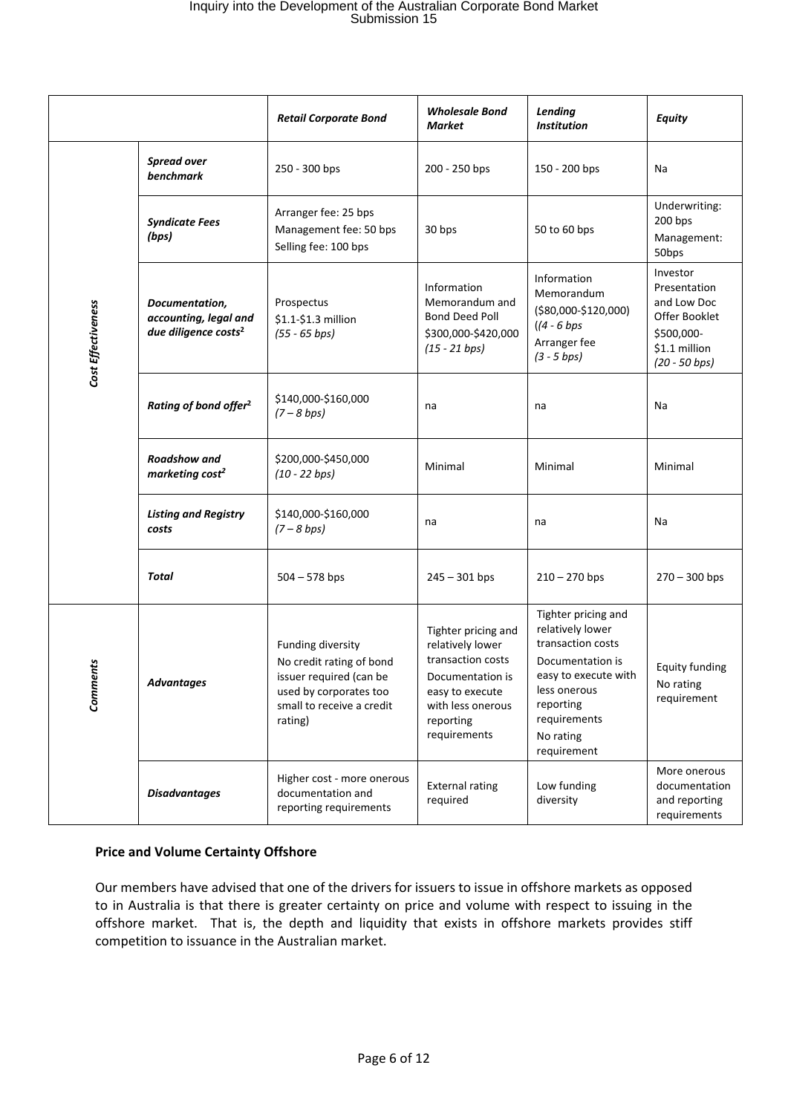# Inquiry into the Development of the Australian Corporate Bond Market Submission 15

|                    |                                                                             | <b>Retail Corporate Bond</b>                                                                                                               | <b>Wholesale Bond</b><br>Market                                                                                                                       | Lending<br><b>Institution</b>                                                                                                                                                     | <b>Equity</b>                                                                                              |
|--------------------|-----------------------------------------------------------------------------|--------------------------------------------------------------------------------------------------------------------------------------------|-------------------------------------------------------------------------------------------------------------------------------------------------------|-----------------------------------------------------------------------------------------------------------------------------------------------------------------------------------|------------------------------------------------------------------------------------------------------------|
| Cost Effectiveness | <b>Spread over</b><br>benchmark                                             | 250 - 300 bps                                                                                                                              | 200 - 250 bps                                                                                                                                         | 150 - 200 bps                                                                                                                                                                     | Na                                                                                                         |
|                    | <b>Syndicate Fees</b><br>(bps)                                              | Arranger fee: 25 bps<br>Management fee: 50 bps<br>Selling fee: 100 bps                                                                     | 30 bps                                                                                                                                                | 50 to 60 bps                                                                                                                                                                      | Underwriting:<br>200 bps<br>Management:<br>50 <sub>bps</sub>                                               |
|                    | Documentation,<br>accounting, legal and<br>due diligence costs <sup>2</sup> | Prospectus<br>\$1.1-\$1.3 million<br>$(55 - 65 bps)$                                                                                       | Information<br>Memorandum and<br>Bond Deed Poll<br>\$300,000-\$420,000<br>$(15 - 21$ bps)                                                             | Information<br>Memorandum<br>(\$80,000-\$120,000)<br>$(4 - 6$ bps<br>Arranger fee<br>$(3 - 5 bps)$                                                                                | Investor<br>Presentation<br>and Low Doc<br>Offer Booklet<br>\$500,000-<br>\$1.1 million<br>$(20 - 50$ bps) |
|                    | Rating of bond offer <sup>2</sup>                                           | \$140,000-\$160,000<br>$(7 - 8$ bps)                                                                                                       | na                                                                                                                                                    | na                                                                                                                                                                                | Na                                                                                                         |
|                    | Roadshow and<br>marketing cost <sup>2</sup>                                 | \$200,000-\$450,000<br>$(10 - 22 bps)$                                                                                                     | Minimal                                                                                                                                               | Minimal                                                                                                                                                                           | Minimal                                                                                                    |
|                    | <b>Listing and Registry</b><br>costs                                        | \$140,000-\$160,000<br>$(7 - 8$ bps)                                                                                                       | na                                                                                                                                                    | na                                                                                                                                                                                | Na                                                                                                         |
|                    | Total                                                                       | $504 - 578$ bps                                                                                                                            | $245 - 301$ bps                                                                                                                                       | $210 - 270$ bps                                                                                                                                                                   | $270 - 300$ bps                                                                                            |
| Comments           | <b>Advantages</b>                                                           | Funding diversity<br>No credit rating of bond<br>issuer required (can be<br>used by corporates too<br>small to receive a credit<br>rating) | Tighter pricing and<br>relatively lower<br>transaction costs<br>Documentation is<br>easy to execute<br>with less onerous<br>reporting<br>requirements | Tighter pricing and<br>relatively lower<br>transaction costs<br>Documentation is<br>easy to execute with<br>less onerous<br>reporting<br>requirements<br>No rating<br>requirement | <b>Equity funding</b><br>No rating<br>requirement                                                          |
|                    | <b>Disadvantages</b>                                                        | Higher cost - more onerous<br>documentation and<br>reporting requirements                                                                  | <b>External rating</b><br>required                                                                                                                    | Low funding<br>diversity                                                                                                                                                          | More onerous<br>documentation<br>and reporting<br>requirements                                             |

# **Price and Volume Certainty Offshore**

Our members have advised that one of the drivers for issuers to issue in offshore markets as opposed to in Australia is that there is greater certainty on price and volume with respect to issuing in the offshore market. That is, the depth and liquidity that exists in offshore markets provides stiff competition to issuance in the Australian market.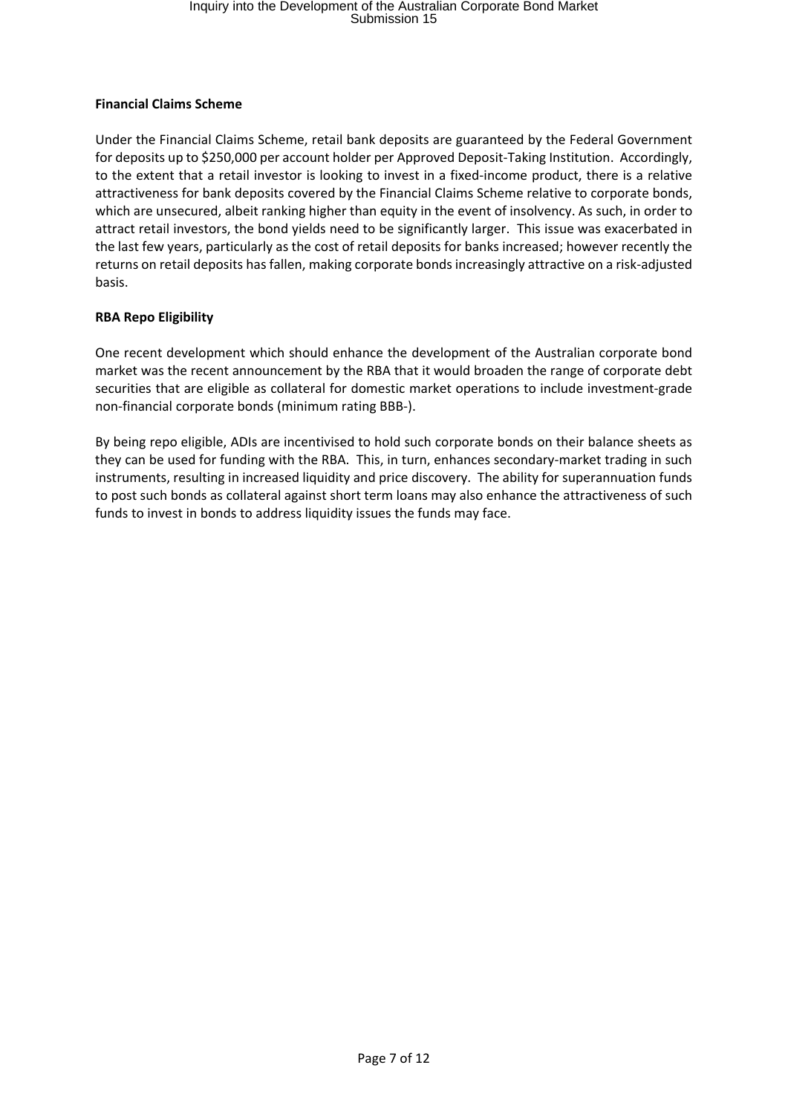# **Financial Claims Scheme**

Under the Financial Claims Scheme, retail bank deposits are guaranteed by the Federal Government for deposits up to \$250,000 per account holder per Approved Deposit-Taking Institution. Accordingly, to the extent that a retail investor is looking to invest in a fixed-income product, there is a relative attractiveness for bank deposits covered by the Financial Claims Scheme relative to corporate bonds, which are unsecured, albeit ranking higher than equity in the event of insolvency. As such, in order to attract retail investors, the bond yields need to be significantly larger. This issue was exacerbated in the last few years, particularly as the cost of retail deposits for banks increased; however recently the returns on retail deposits has fallen, making corporate bonds increasingly attractive on a risk‐adjusted basis.

# **RBA Repo Eligibility**

One recent development which should enhance the development of the Australian corporate bond market was the recent announcement by the RBA that it would broaden the range of corporate debt securities that are eligible as collateral for domestic market operations to include investment‐grade non‐financial corporate bonds (minimum rating BBB‐).

By being repo eligible, ADIs are incentivised to hold such corporate bonds on their balance sheets as they can be used for funding with the RBA. This, in turn, enhances secondary‐market trading in such instruments, resulting in increased liquidity and price discovery. The ability for superannuation funds to post such bonds as collateral against short term loans may also enhance the attractiveness of such funds to invest in bonds to address liquidity issues the funds may face.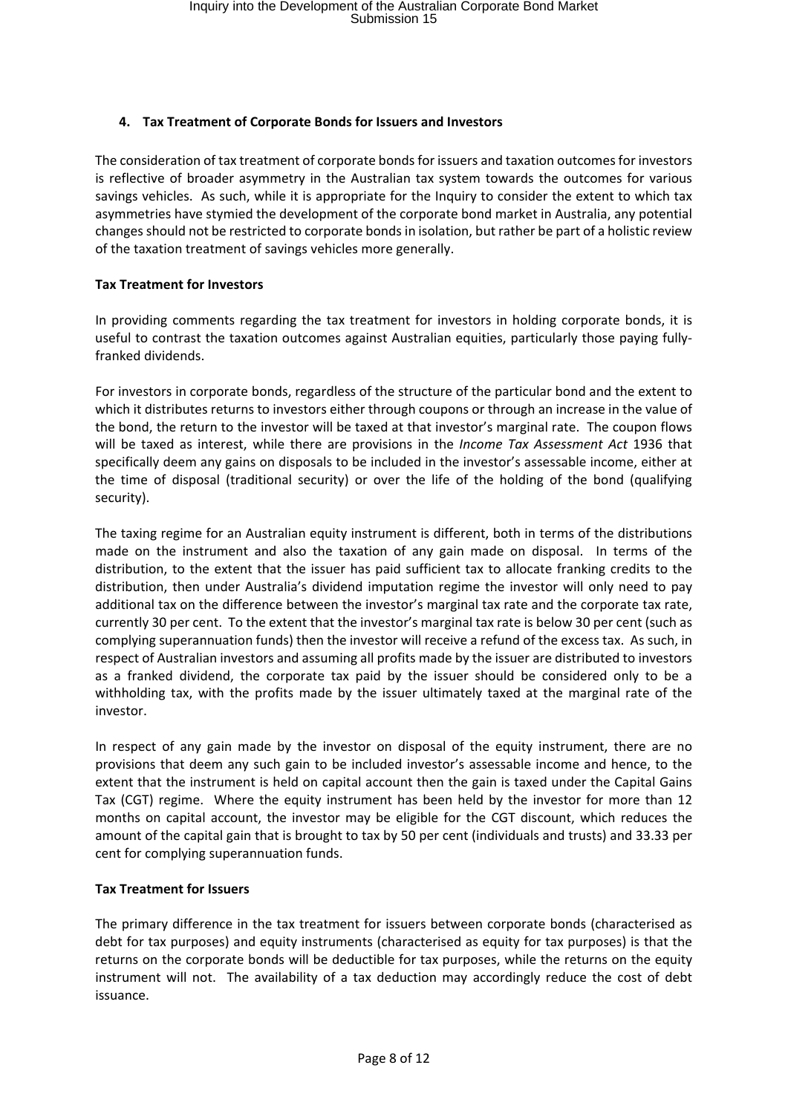# **4. Tax Treatment of Corporate Bonds for Issuers and Investors**

The consideration of tax treatment of corporate bonds for issuers and taxation outcomes for investors is reflective of broader asymmetry in the Australian tax system towards the outcomes for various savings vehicles. As such, while it is appropriate for the Inquiry to consider the extent to which tax asymmetries have stymied the development of the corporate bond market in Australia, any potential changes should not be restricted to corporate bonds in isolation, but rather be part of a holistic review of the taxation treatment of savings vehicles more generally.

#### **Tax Treatment for Investors**

In providing comments regarding the tax treatment for investors in holding corporate bonds, it is useful to contrast the taxation outcomes against Australian equities, particularly those paying fullyfranked dividends.

For investors in corporate bonds, regardless of the structure of the particular bond and the extent to which it distributes returns to investors either through coupons or through an increase in the value of the bond, the return to the investor will be taxed at that investor's marginal rate. The coupon flows will be taxed as interest, while there are provisions in the *Income Tax Assessment Act* 1936 that specifically deem any gains on disposals to be included in the investor's assessable income, either at the time of disposal (traditional security) or over the life of the holding of the bond (qualifying security).

The taxing regime for an Australian equity instrument is different, both in terms of the distributions made on the instrument and also the taxation of any gain made on disposal. In terms of the distribution, to the extent that the issuer has paid sufficient tax to allocate franking credits to the distribution, then under Australia's dividend imputation regime the investor will only need to pay additional tax on the difference between the investor's marginal tax rate and the corporate tax rate, currently 30 per cent. To the extent that the investor's marginal tax rate is below 30 per cent (such as complying superannuation funds) then the investor will receive a refund of the excess tax. As such, in respect of Australian investors and assuming all profits made by the issuer are distributed to investors as a franked dividend, the corporate tax paid by the issuer should be considered only to be a withholding tax, with the profits made by the issuer ultimately taxed at the marginal rate of the investor.

In respect of any gain made by the investor on disposal of the equity instrument, there are no provisions that deem any such gain to be included investor's assessable income and hence, to the extent that the instrument is held on capital account then the gain is taxed under the Capital Gains Tax (CGT) regime. Where the equity instrument has been held by the investor for more than 12 months on capital account, the investor may be eligible for the CGT discount, which reduces the amount of the capital gain that is brought to tax by 50 per cent (individuals and trusts) and 33.33 per cent for complying superannuation funds.

#### **Tax Treatment for Issuers**

The primary difference in the tax treatment for issuers between corporate bonds (characterised as debt for tax purposes) and equity instruments (characterised as equity for tax purposes) is that the returns on the corporate bonds will be deductible for tax purposes, while the returns on the equity instrument will not. The availability of a tax deduction may accordingly reduce the cost of debt issuance.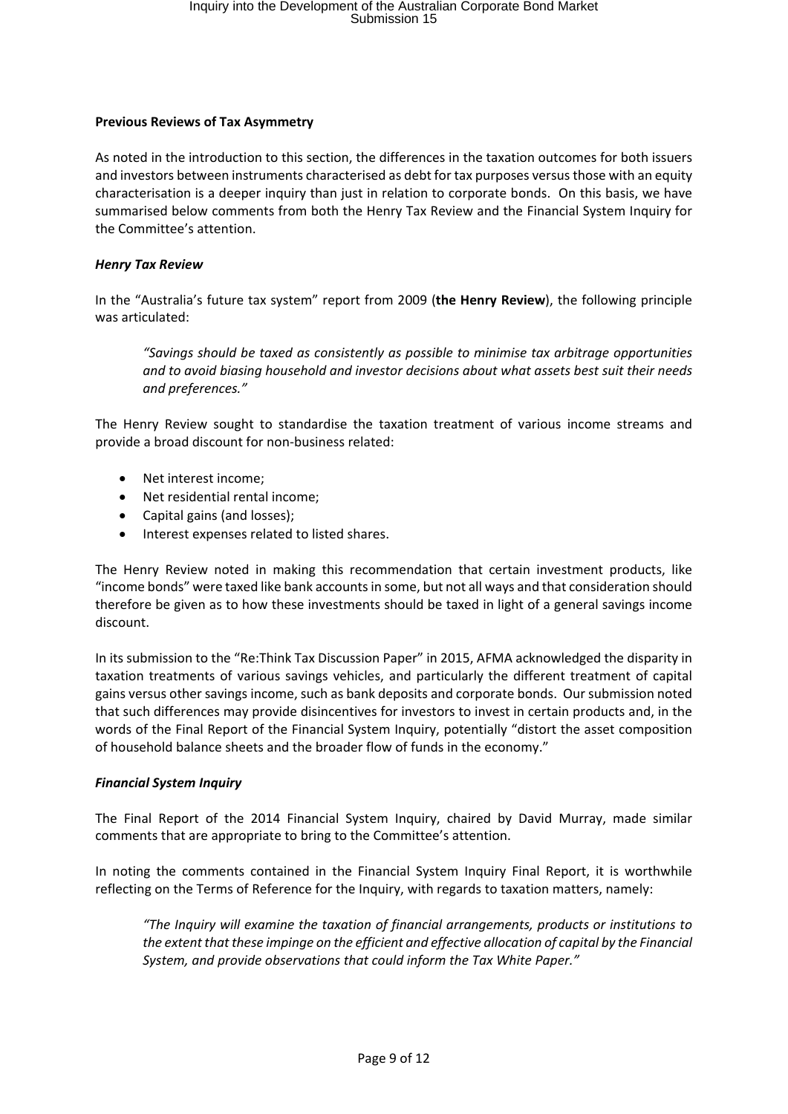#### **Previous Reviews of Tax Asymmetry**

As noted in the introduction to this section, the differences in the taxation outcomes for both issuers and investors between instruments characterised as debt for tax purposes versusthose with an equity characterisation is a deeper inquiry than just in relation to corporate bonds. On this basis, we have summarised below comments from both the Henry Tax Review and the Financial System Inquiry for the Committee's attention.

#### *Henry Tax Review*

In the "Australia's future tax system" report from 2009 (**the Henry Review**), the following principle was articulated:

*"Savings should be taxed as consistently as possible to minimise tax arbitrage opportunities and to avoid biasing household and investor decisions about what assets best suit their needs and preferences."*

The Henry Review sought to standardise the taxation treatment of various income streams and provide a broad discount for non‐business related:

- Net interest income;
- Net residential rental income;
- Capital gains (and losses);
- Interest expenses related to listed shares.

The Henry Review noted in making this recommendation that certain investment products, like "income bonds" were taxed like bank accountsin some, but not all ways and that consideration should therefore be given as to how these investments should be taxed in light of a general savings income discount.

In its submission to the "Re:Think Tax Discussion Paper" in 2015, AFMA acknowledged the disparity in taxation treatments of various savings vehicles, and particularly the different treatment of capital gains versus other savings income, such as bank deposits and corporate bonds. Our submission noted that such differences may provide disincentives for investors to invest in certain products and, in the words of the Final Report of the Financial System Inquiry, potentially "distort the asset composition of household balance sheets and the broader flow of funds in the economy."

# *Financial System Inquiry*

The Final Report of the 2014 Financial System Inquiry, chaired by David Murray, made similar comments that are appropriate to bring to the Committee's attention.

In noting the comments contained in the Financial System Inquiry Final Report, it is worthwhile reflecting on the Terms of Reference for the Inquiry, with regards to taxation matters, namely:

*"The Inquiry will examine the taxation of financial arrangements, products or institutions to the extent that these impinge on the efficient and effective allocation of capital by the Financial System, and provide observations that could inform the Tax White Paper."*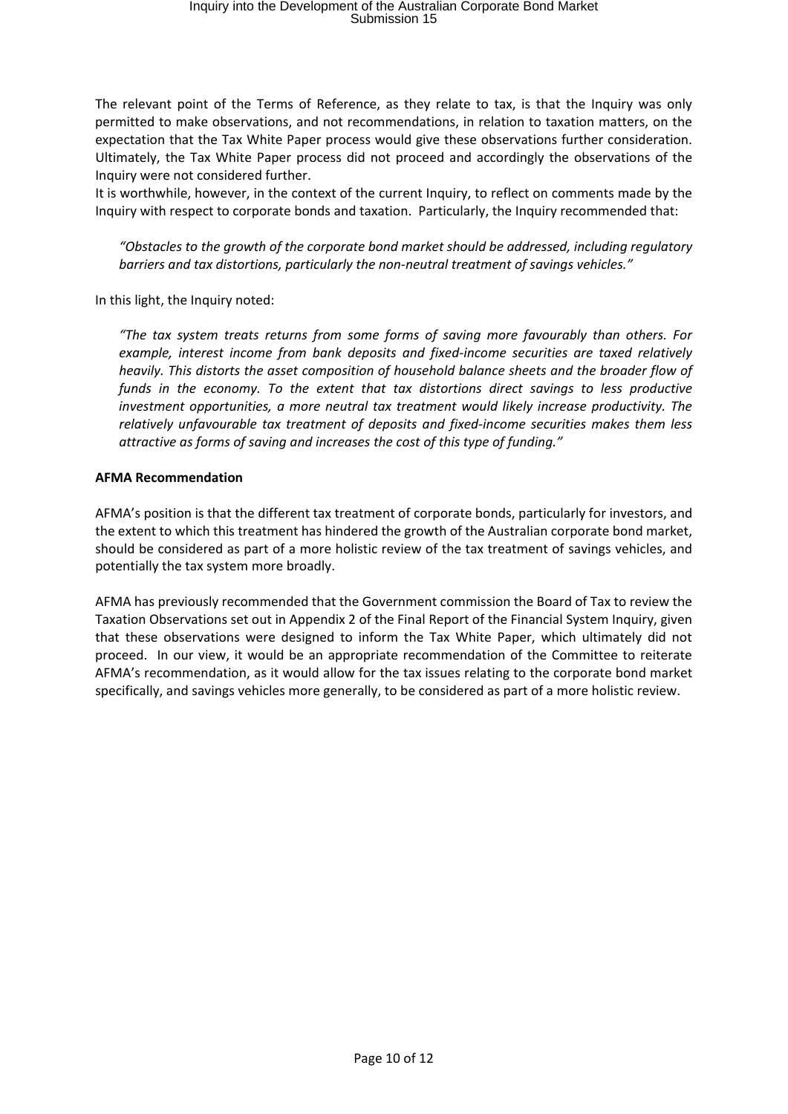The relevant point of the Terms of Reference, as they relate to tax, is that the Inquiry was only permitted to make observations, and not recommendations, in relation to taxation matters, on the expectation that the Tax White Paper process would give these observations further consideration. Ultimately, the Tax White Paper process did not proceed and accordingly the observations of the Inquiry were not considered further.

It is worthwhile, however, in the context of the current Inquiry, to reflect on comments made by the Inquiry with respect to corporate bonds and taxation. Particularly, the Inquiry recommended that:

*"Obstacles to the growth of the corporate bond market should be addressed, including regulatory barriers and tax distortions, particularly the non‐neutral treatment of savings vehicles."*

In this light, the Inquiry noted:

*"The tax system treats returns from some forms of saving more favourably than others. For example, interest income from bank deposits and fixed‐income securities are taxed relatively heavily. This distorts the asset composition of household balance sheets and the broader flow of funds in the economy. To the extent that tax distortions direct savings to less productive investment opportunities, a more neutral tax treatment would likely increase productivity. The relatively unfavourable tax treatment of deposits and fixed‐income securities makes them less attractive as forms of saving and increases the cost of this type of funding."*

#### **AFMA Recommendation**

AFMA's position is that the different tax treatment of corporate bonds, particularly for investors, and the extent to which this treatment has hindered the growth of the Australian corporate bond market, should be considered as part of a more holistic review of the tax treatment of savings vehicles, and potentially the tax system more broadly.

AFMA has previously recommended that the Government commission the Board of Tax to review the Taxation Observations set out in Appendix 2 of the Final Report of the Financial System Inquiry, given that these observations were designed to inform the Tax White Paper, which ultimately did not proceed. In our view, it would be an appropriate recommendation of the Committee to reiterate AFMA's recommendation, as it would allow for the tax issues relating to the corporate bond market specifically, and savings vehicles more generally, to be considered as part of a more holistic review.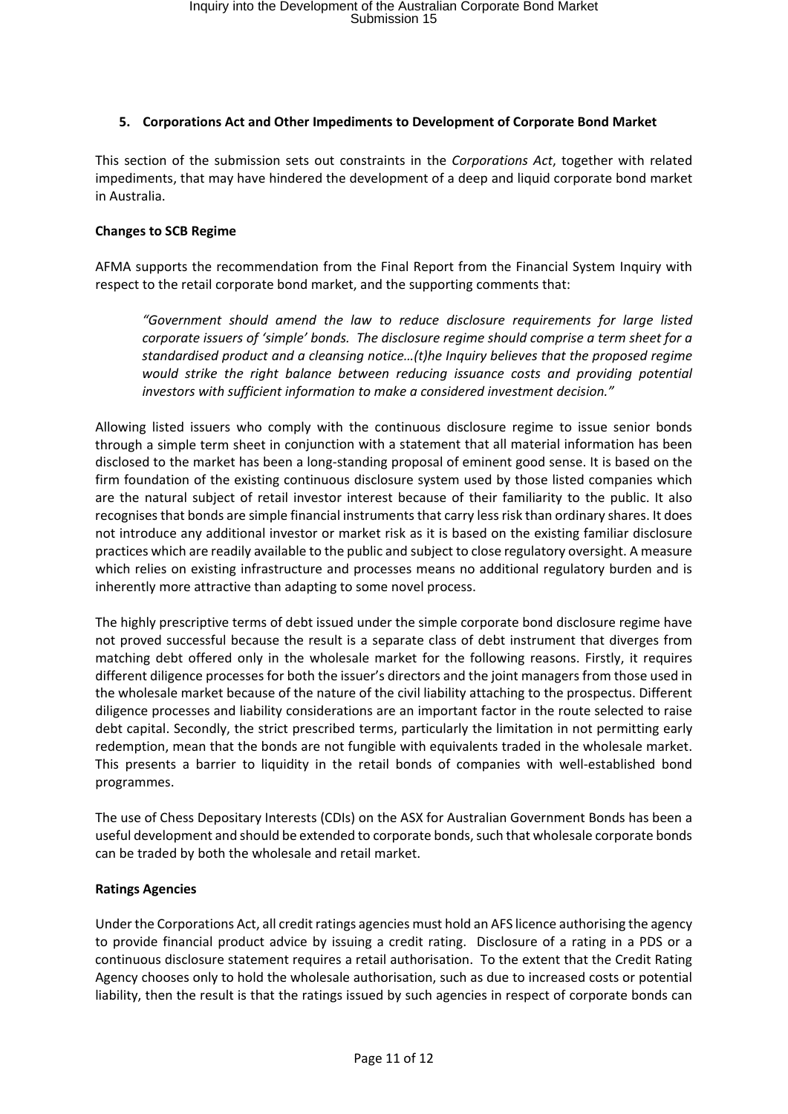#### **5. Corporations Act and Other Impediments to Development of Corporate Bond Market**

This section of the submission sets out constraints in the *Corporations Act*, together with related impediments, that may have hindered the development of a deep and liquid corporate bond market in Australia.

#### **Changes to SCB Regime**

AFMA supports the recommendation from the Final Report from the Financial System Inquiry with respect to the retail corporate bond market, and the supporting comments that:

*"Government should amend the law to reduce disclosure requirements for large listed corporate issuers of 'simple' bonds. The disclosure regime should comprise a term sheet for a standardised product and a cleansing notice…(t)he Inquiry believes that the proposed regime would strike the right balance between reducing issuance costs and providing potential investors with sufficient information to make a considered investment decision."*

Allowing listed issuers who comply with the continuous disclosure regime to issue senior bonds through a simple term sheet in conjunction with a statement that all material information has been disclosed to the market has been a long‐standing proposal of eminent good sense. It is based on the firm foundation of the existing continuous disclosure system used by those listed companies which are the natural subject of retail investor interest because of their familiarity to the public. It also recognises that bonds are simple financial instruments that carry less risk than ordinary shares. It does not introduce any additional investor or market risk as it is based on the existing familiar disclosure practices which are readily available to the public and subject to close regulatory oversight. A measure which relies on existing infrastructure and processes means no additional regulatory burden and is inherently more attractive than adapting to some novel process.

The highly prescriptive terms of debt issued under the simple corporate bond disclosure regime have not proved successful because the result is a separate class of debt instrument that diverges from matching debt offered only in the wholesale market for the following reasons. Firstly, it requires different diligence processes for both the issuer's directors and the joint managers from those used in the wholesale market because of the nature of the civil liability attaching to the prospectus. Different diligence processes and liability considerations are an important factor in the route selected to raise debt capital. Secondly, the strict prescribed terms, particularly the limitation in not permitting early redemption, mean that the bonds are not fungible with equivalents traded in the wholesale market. This presents a barrier to liquidity in the retail bonds of companies with well‐established bond programmes.

The use of Chess Depositary Interests (CDIs) on the ASX for Australian Government Bonds has been a useful development and should be extended to corporate bonds, such that wholesale corporate bonds can be traded by both the wholesale and retail market.

#### **Ratings Agencies**

Under the Corporations Act, all credit ratings agencies must hold an AFS licence authorising the agency to provide financial product advice by issuing a credit rating. Disclosure of a rating in a PDS or a continuous disclosure statement requires a retail authorisation. To the extent that the Credit Rating Agency chooses only to hold the wholesale authorisation, such as due to increased costs or potential liability, then the result is that the ratings issued by such agencies in respect of corporate bonds can